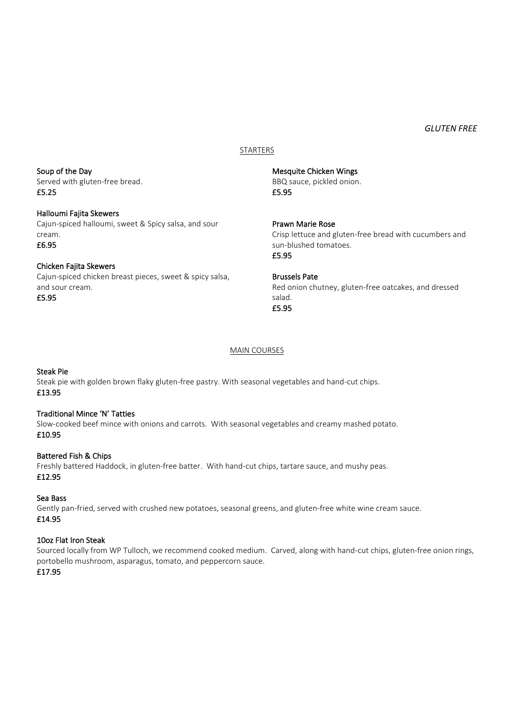#### *GLUTEN FREE*

## STARTERS

Mesquite Chicken Wings BBQ sauce, pickled onion. £5.95

> Prawn Marie Rose Crisp lettuce and gluten-free bread with cucumbers and sun-blushed tomatoes. £5.95

Brussels Pate Red onion chutney, gluten-free oatcakes, and dressed salad. £5.95

#### MAIN COURSES

## Steak Pie

Steak pie with golden brown flaky gluten-free pastry. With seasonal vegetables and hand-cut chips. £13.95

#### Traditional Mince 'N' Tatties

Slow-cooked beef mince with onions and carrots. With seasonal vegetables and creamy mashed potato. £10.95

#### Battered Fish & Chips

Freshly battered Haddock, in gluten-free batter. With hand-cut chips, tartare sauce, and mushy peas. £12.95

## Sea Bass

Gently pan-fried, served with crushed new potatoes, seasonal greens, and gluten-free white wine cream sauce. £14.95

#### 10oz Flat Iron Steak

Sourced locally from WP Tulloch, we recommend cooked medium. Carved, along with hand-cut chips, gluten-free onion rings, portobello mushroom, asparagus, tomato, and peppercorn sauce.

## £17.95

Soup of the Day Served with gluten-free bread. £5.25

## Halloumi Fajita Skewers Cajun-spiced halloumi, sweet & Spicy salsa, and sour cream. £6.95

Chicken Fajita Skewers Cajun-spiced chicken breast pieces, sweet & spicy salsa, and sour cream. £5.95